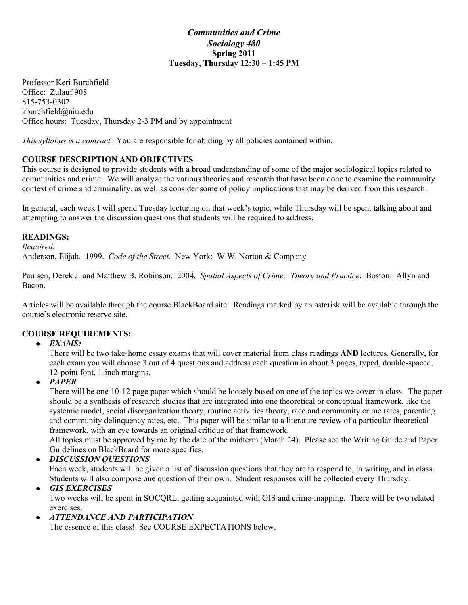## *Communities and Crime Sociology 480* **Spring 2011 Tuesday, Thursday 12:30 – 1:45 PM**

Professor Keri Burchfield Office: Zulauf 908 815-753-0302 kburchfield@niu.edu Office hours: Tuesday, Thursday 2-3 PM and by appointment

*This syllabus is a contract.* You are responsible for abiding by all policies contained within.

# **COURSE DESCRIPTION AND OBJECTIVES**

This course is designed to provide students with a broad understanding of some of the major sociological topics related to communities and crime. We will analyze the various theories and research that have been done to examine the community context of crime and criminality, as well as consider some of policy implications that may be derived from this research.

In general, each week I will spend Tuesday lecturing on that week's topic, while Thursday will be spent talking about and attempting to answer the discussion questions that students will be required to address.

### **READINGS:**

*Required:*

Anderson, Elijah. 1999. *Code of the Street.* New York: W.W. Norton & Company

Paulsen, Derek J. and Matthew B. Robinson. 2004. *Spatial Aspects of Crime: Theory and Practice*. Boston: Allyn and Bacon.

Articles will be available through the course BlackBoard site. Readings marked by an asterisk will be available through the course's electronic reserve site.

## **COURSE REQUIREMENTS:**

#### ● *EXAMS:*

There will be two take-home essay exams that will cover material from class readings **AND** lectures. Generally, for each exam you will choose 3 out of 4 questions and address each question in about 3 pages, typed, double-spaced, 12-point font, 1-inch margins.

## ● *PAPER*

There will be one 10-12 page paper which should be loosely based on one of the topics we cover in class. The paper should be a synthesis of research studies that are integrated into one theoretical or conceptual framework, like the systemic model, social disorganization theory, routine activities theory, race and community crime rates, parenting and community delinquency rates, etc. This paper will be similar to a literature review of a particular theoretical framework, with an eye towards an original critique of that framework.

All topics must be approved by me by the date of the midterm (March 24). Please see the Writing Guide and Paper Guidelines on BlackBoard for more specifics.

#### ● *DISCUSSION QUESTIONS*

Each week, students will be given a list of discussion questions that they are to respond to, in writing, and in class. Students will also compose one question of their own. Student responses will be collected every Thursday.

## ● *GIS EXERCISES*

Two weeks will be spent in SOCQRL, getting acquainted with GIS and crime-mapping. There will be two related exercises.

## ● *ATTENDANCE AND PARTICIPATION*

The essence of this class! See COURSE EXPECTATIONS below.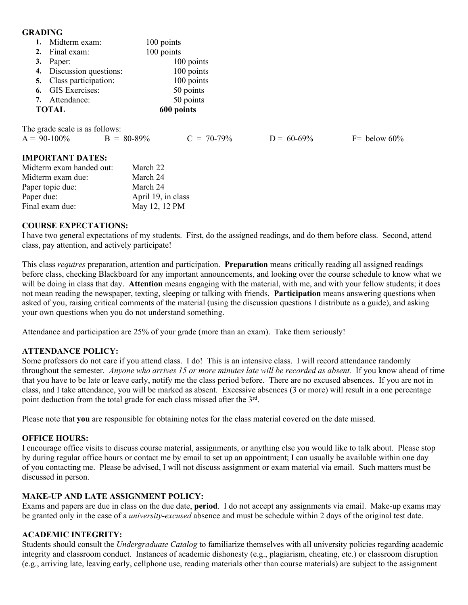#### **GRADING**

| 1. Midterm exam:         | 100 points |  |
|--------------------------|------------|--|
| 2. Final exam:           | 100 points |  |
| 3. Paper:                | 100 points |  |
| 4. Discussion questions: | 100 points |  |
| 5. Class participation:  | 100 points |  |
| 6. GIS Exercises:        | 50 points  |  |
| 7. Attendance:           | 50 points  |  |
| <b>TOTAL</b>             | 600 points |  |
|                          |            |  |

The grade scale is as follows:

| $A = 90-100\%$ | $B = 80-89\%$ | $C = 70-79\%$ | $D = 60 - 69\%$ | $F =$ below 60% |
|----------------|---------------|---------------|-----------------|-----------------|
|                |               |               |                 |                 |

#### **IMPORTANT DATES:**

| Midterm exam handed out: | March 22           |
|--------------------------|--------------------|
| Midterm exam due:        | March 24           |
| Paper topic due:         | March 24           |
| Paper due:               | April 19, in class |
| Final exam due:          | May 12, 12 PM      |

### **COURSE EXPECTATIONS:**

I have two general expectations of my students. First, do the assigned readings, and do them before class. Second, attend class, pay attention, and actively participate!

This class *requires* preparation, attention and participation. **Preparation** means critically reading all assigned readings before class, checking Blackboard for any important announcements, and looking over the course schedule to know what we will be doing in class that day. **Attention** means engaging with the material, with me, and with your fellow students; it does not mean reading the newspaper, texting, sleeping or talking with friends. **Participation** means answering questions when asked of you, raising critical comments of the material (using the discussion questions I distribute as a guide), and asking your own questions when you do not understand something.

Attendance and participation are 25% of your grade (more than an exam). Take them seriously!

#### **ATTENDANCE POLICY:**

Some professors do not care if you attend class. I do! This is an intensive class. I will record attendance randomly throughout the semester. *Anyone who arrives 15 or more minutes late will be recorded as absent.* If you know ahead of time that you have to be late or leave early, notify me the class period before. There are no excused absences. If you are not in class, and I take attendance, you will be marked as absent. Excessive absences (3 or more) will result in a one percentage point deduction from the total grade for each class missed after the 3rd.

Please note that **you** are responsible for obtaining notes for the class material covered on the date missed.

#### **OFFICE HOURS:**

I encourage office visits to discuss course material, assignments, or anything else you would like to talk about. Please stop by during regular office hours or contact me by email to set up an appointment; I can usually be available within one day of you contacting me. Please be advised, I will not discuss assignment or exam material via email. Such matters must be discussed in person.

#### **MAKE-UP AND LATE ASSIGNMENT POLICY:**

Exams and papers are due in class on the due date, **period**. I do not accept any assignments via email. Make-up exams may be granted only in the case of a *university-excused* absence and must be schedule within 2 days of the original test date.

#### **ACADEMIC INTEGRITY:**

Students should consult the *Undergraduate Catalog* to familiarize themselves with all university policies regarding academic integrity and classroom conduct. Instances of academic dishonesty (e.g., plagiarism, cheating, etc.) or classroom disruption (e.g., arriving late, leaving early, cellphone use, reading materials other than course materials) are subject to the assignment